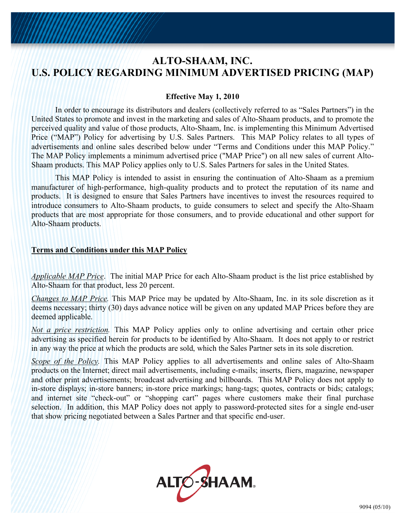## **ALTO-SHAAM, INC. U.S. POLICY REGARDING MINIMUM ADVERTISED PRICING (MAP)**

## **Effective May 1, 2010**

In order to encourage its distributors and dealers (collectively referred to as "Sales Partners") in the United States to promote and invest in the marketing and sales of Alto-Shaam products, and to promote the perceived quality and value of those products, Alto-Shaam, Inc. is implementing this Minimum Advertised Price ("MAP") Policy for advertising by U.S. Sales Partners. This MAP Policy relates to all types of advertisements and online sales described below under "Terms and Conditions under this MAP Policy." The MAP Policy implements a minimum advertised price ("MAP Price") on all new sales of current Alto-Shaam products. This MAP Policy applies only to U.S. Sales Partners for sales in the United States.

This MAP Policy is intended to assist in ensuring the continuation of Alto-Shaam as a premium manufacturer of high-performance, high-quality products and to protect the reputation of its name and products. It is designed to ensure that Sales Partners have incentives to invest the resources required to introduce consumers to Alto-Shaam products, to guide consumers to select and specify the Alto-Shaam products that are most appropriate for those consumers, and to provide educational and other support for Alto-Shaam products.

## **Terms and Conditions under this MAP Policy**

*Applicable MAP Price*. The initial MAP Price for each Alto-Shaam product is the list price established by Alto-Shaam for that product, less 20 percent.

*Changes to MAP Price.* This MAP Price may be updated by Alto-Shaam, Inc. in its sole discretion as it deems necessary; thirty (30) days advance notice will be given on any updated MAP Prices before they are deemed applicable.

*Not a price restriction.* This MAP Policy applies only to online advertising and certain other price advertising as specified herein for products to be identified by Alto-Shaam. It does not apply to or restrict in any way the price at which the products are sold, which the Sales Partner sets in its sole discretion.

*Scope of the Policy*. This MAP Policy applies to all advertisements and online sales of Alto-Shaam products on the Internet; direct mail advertisements, including e-mails; inserts, fliers, magazine, newspaper and other print advertisements; broadcast advertising and billboards. This MAP Policy does not apply to in-store displays; in-store banners; in-store price markings; hang-tags; quotes, contracts or bids; catalogs; and internet site "check-out" or "shopping cart" pages where customers make their final purchase selection. In addition, this MAP Policy does not apply to password-protected sites for a single end-user that show pricing negotiated between a Sales Partner and that specific end-user.